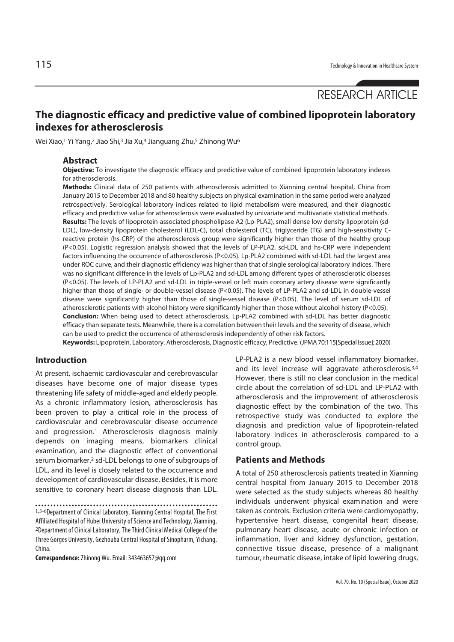# **The diagnostic efficacy and predictive value of combined lipoprotein laboratory indexes for atherosclerosis**

Wei Xiao,1 Yi Yang,2 Jiao Shi,3 Jia Xu,4 Jianguang Zhu,5 Zhinong Wu6

#### **Abstract**

**Objective:** To investigate the diagnostic efficacy and predictive value of combined lipoprotein laboratory indexes for atherosclerosis.

**Methods:** Clinical data of 250 patients with atherosclerosis admitted to Xianning central hospital, China from January 2015 to December 2018 and 80 healthy subjects on physical examination in the same period were analyzed retrospectively. Serological laboratory indices related to lipid metabolism were measured, and their diagnostic efficacy and predictive value for atherosclerosis were evaluated by univariate and multivariate statistical methods. **Results:** The levels of lipoprotein-associated phospholipase A2 (Lp-PLA2), small dense low density lipoprotein (sd-LDL), low-density lipoprotein cholesterol (LDL-C), total cholesterol (TC), triglyceride (TG) and high-sensitivity Creactive protein (hs-CRP) of the atherosclerosis group were significantly higher than those of the healthy group (P<0.05). Logistic regression analysis showed that the levels of LP-PLA2, sd-LDL and hs-CRP were independent factors influencing the occurrence of atherosclerosis (P<0.05). Lp-PLA2 combined with sd-LDL had the largest area under ROC curve, and their diagnostic efficiency was higher than that of single serological laboratory indices. There was no significant difference in the levels of Lp-PLA2 and sd-LDL among different types of atherosclerotic diseases (P<0.05). The levels of LP-PLA2 and sd-LDL in triple-vessel or left main coronary artery disease were significantly higher than those of single- or double-vessel disease (P<0.05). The levels of LP-PLA2 and sd-LDL in double-vessel disease were significantly higher than those of single-vessel disease (P<0.05). The level of serum sd-LDL of atherosclerotic patients with alcohol history were significantly higher than those without alcohol history (P<0.05). **Conclusion:** When being used to detect atherosclerosis, Lp-PLA2 combined with sd-LDL has better diagnostic efficacy than separate tests. Meanwhile, there is a correlation between their levels and the severity of disease, which can be used to predict the occurrence of atherosclerosis independently of other risk factors. **Keywords:** Lipoprotein, Laboratory, Atherosclerosis, Diagnostic efficacy, Predictive. (JPMA 70:115[Special Issue]; 2020)

### **Introduction**

At present, ischaemic cardiovascular and cerebrovascular diseases have become one of major disease types threatening life safety of middle-aged and elderly people. As a chronic inflammatory lesion, atherosclerosis has been proven to play a critical role in the process of cardiovascular and cerebrovascular disease occurrence and progression.1 Atherosclerosis diagnosis mainly depends on imaging means, biomarkers clinical examination, and the diagnostic effect of conventional serum biomarker.2 sd-LDL belongs to one of subgroups of LDL, and its level is closely related to the occurrence and development of cardiovascular disease. Besides, it is more sensitive to coronary heart disease diagnosis than LDL.

1,3-6Department of Clinical Laboratory, Xianning Central Hospital, The First Affiliated Hospital of Hubei University of Science and Technology, Xianning, <sup>2</sup>Department of Clinical Laboratory, The Third Clinical Medical College of the Three Gorges University, Gezhouba Central Hospital of Sinopharm, Yichang, China.

**Correspondence:** Zhinong Wu. Email: 343463657@qq.com

LP-PLA2 is a new blood vessel inflammatory biomarker, and its level increase will aggravate atherosclerosis.3,4 However, there is still no clear conclusion in the medical circle about the correlation of sd-LDL and LP-PLA2 with atherosclerosis and the improvement of atherosclerosis diagnostic effect by the combination of the two. This retrospective study was conducted to explore the diagnosis and prediction value of lipoprotein-related laboratory indices in atherosclerosis compared to a control group.

# **Patients and Methods**

A total of 250 atherosclerosis patients treated in Xianning central hospital from January 2015 to December 2018 were selected as the study subjects whereas 80 healthy individuals underwent physical examination and were taken as controls. Exclusion criteria were cardiomyopathy, hypertensive heart disease, congenital heart disease, pulmonary heart disease, acute or chronic infection or inflammation, liver and kidney dysfunction, gestation, connective tissue disease, presence of a malignant tumour, rheumatic disease, intake of lipid lowering drugs,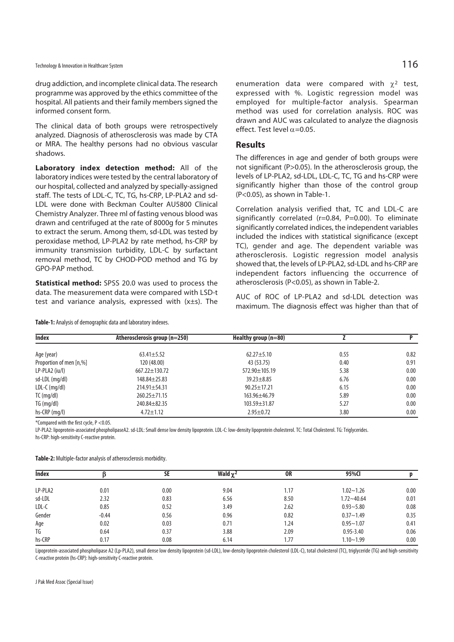drug addiction, and incomplete clinical data. The research programme was approved by the ethics committee of the hospital. All patients and their family members signed the informed consent form.

The clinical data of both groups were retrospectively analyzed. Diagnosis of atherosclerosis was made by CTA or MRA. The healthy persons had no obvious vascular shadows.

**Laboratory index detection method:** All of the laboratory indices were tested by the central laboratory of our hospital, collected and analyzed by specially-assigned staff. The tests of LDL-C, TC, TG, hs-CRP, LP-PLA2 and sd-LDL were done with Beckman Coulter AU5800 Clinical Chemistry Analyzer. Three ml of fasting venous blood was drawn and centrifuged at the rate of 8000g for 5 minutes to extract the serum. Among them, sd-LDL was tested by peroxidase method, LP-PLA2 by rate method, hs-CRP by immunity transmission turbidity, LDL-C by surfactant removal method, TC by CHOD-POD method and TG by GPO-PAP method.

**Statistical method:** SPSS 20.0 was used to process the data. The measurement data were compared with LSD-t test and variance analysis, expressed with (x±s). The

**Table-1:** Analysis of demographic data and laboratory indexes.

enumeration data were compared with  $\chi^2$  test, expressed with %. Logistic regression model was employed for multiple-factor analysis. Spearman method was used for correlation analysis. ROC was drawn and AUC was calculated to analyze the diagnosis effect. Test level  $\alpha$ =0.05.

#### **Results**

The differences in age and gender of both groups were not significant (P>0.05). In the atherosclerosis group, the levels of LP-PLA2, sd-LDL, LDL-C, TC, TG and hs-CRP were significantly higher than those of the control group (P<0.05), as shown in Table-1.

Correlation analysis verified that, TC and LDL-C are significantly correlated ( $r=0.84$ ,  $P=0.00$ ). To eliminate significantly correlated indices, the independent variables included the indices with statistical significance (except TC), gender and age. The dependent variable was atherosclerosis. Logistic regression model analysis showed that, the levels of LP-PLA2, sd-LDL and hs-CRP are independent factors influencing the occurrence of atherosclerosis (P<0.05), as shown in Table-2.

AUC of ROC of LP-PLA2 and sd-LDL detection was maximum. The diagnosis effect was higher than that of

| <b>Index</b>            | Atherosclerosis group (n=250) | Healthy group $(n=80)$ |      |      |
|-------------------------|-------------------------------|------------------------|------|------|
| Age (year)              | $63.41 \pm 5.52$              | $62.27 \pm 5.10$       | 0.55 | 0.82 |
| Proportion of men [n,%] | 120 (48.00)                   | 43 (53.75)             | 0.40 | 0.91 |
| $LP-PLA2$ (iu/l)        | $667.22 \pm 130.72$           | 572.90±105.19          | 5.38 | 0.00 |
| sd-LDL (mg/dl)          | $148.84 \pm 25.83$            | $39.23 + 8.85$         | 6.76 | 0.00 |
| LDL-C $(mq/d)$          | $214.91 \pm 54.31$            | $90.25 \pm 17.21$      | 6.15 | 0.00 |
| $TC$ (mg/dl)            | $260.25 \pm 71.15$            | $163.96 \pm 46.79$     | 5.89 | 0.00 |
| TG (mg/dl)              | $240.84 \pm 82.35$            | $103.59 \pm 31.87$     | 5.27 | 0.00 |
| $hs-CRP$ (mg/l)         | $4.72 \pm 1.12$               | $2.95 \pm 0.72$        | 3.80 | 0.00 |

\*Compared with the first cycle, P <0.05.

LP-PLA2: lipoprotein-associated phospholipaseA2. sd-LDL: Small dense low density lipoprotein. LDL-C: low-density lipoprotein cholesterol. TC: Total Cholesterol. TG: Triglycerides.

hs-CRP: high-sensitivity C-reactive protein.

| Table-2: Multiple-factor analysis of atherosclerosis morbidity. |  |  |  |
|-----------------------------------------------------------------|--|--|--|
|-----------------------------------------------------------------|--|--|--|

| <b>Index</b> |         | SE   | Wald $\gamma^2$ | <b>OR</b> | 95%CI          |      |
|--------------|---------|------|-----------------|-----------|----------------|------|
|              |         |      |                 |           |                |      |
| LP-PLA2      | 0.01    | 0.00 | 9.04            | 1.17      | $1.02 - 1.26$  | 0.00 |
| sd-LDL       | 2.32    | 0.83 | 6.56            | 8.50      | $1.72 - 40.64$ | 0.01 |
| LDL-C        | 0.85    | 0.52 | 3.49            | 2.62      | $0.93 - 5.80$  | 0.08 |
| Gender       | $-0.44$ | 0.56 | 0.96            | 0.82      | $0.37 - 1.49$  | 0.35 |
| Age          | 0.02    | 0.03 | 0.71            | 1.24      | $0.95 - 1.07$  | 0.41 |
| TG           | 0.64    | 0.37 | 3.88            | 2.09      | $0.95 - 3.40$  | 0.06 |
| hs-CRP       | 0.17    | 0.08 | 6.14            | 1.77      | $1.10 - 1.99$  | 0.00 |

Lipoprotein-associated phospholipase A2 (Lp-PLA2), small dense low density lipoprotein (sd-LDL), low-density lipoprotein cholesterol (LDL-C), total cholesterol (TC), triglyceride (TG) and high-sensitivity C-reactive protein (hs-CRP): high-sensitivity C-reactive protein.

J Pak Med Assoc (Special Issue)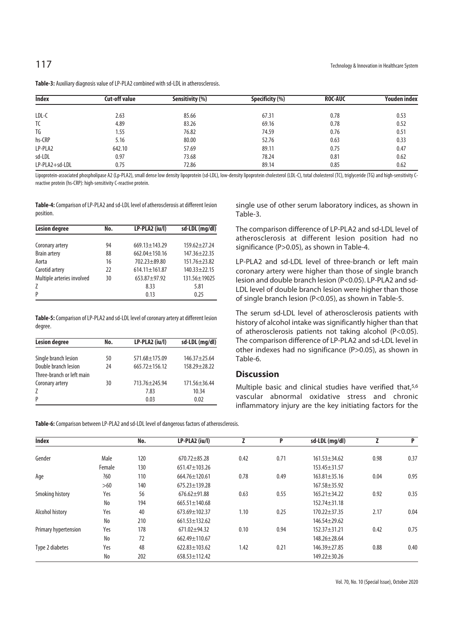| <b>Index</b>   | <b>Cut-off value</b> | Sensitivity (%) | Specificity (%) | <b>ROC-AUC</b> | Youden index |
|----------------|----------------------|-----------------|-----------------|----------------|--------------|
| LDL-C          | 2.63                 | 85.66           | 67.31           | 0.78           | 0.53         |
| TC             | 4.89                 | 83.26           | 69.16           | 0.78           | 0.52         |
| TG             | 1.55                 | 76.82           | 74.59           | 0.76           | 0.51         |
| hs-CRP         | 5.16                 | 80.00           | 52.76           | 0.63           | 0.33         |
| LP-PLA2        | 642.10               | 57.69           | 89.11           | 0.75           | 0.47         |
| sd-LDL         | 0.97                 | 73.68           | 78.24           | 0.81           | 0.62         |
| LP-PLA2+sd-LDL | 0.75                 | 72.86           | 89.14           | 0.85           | 0.62         |

**Table-3:** Auxiliary diagnosis value of LP-PLA2 combined with sd-LDL in atherosclerosis.

Lipoprotein-associated phospholipase A2 (Lp-PLA2), small dense low density lipoprotein (sd-LDL), low-density ilpoprotein cholesterol (LDL-C), total cholesterol (TC), triglyceride (TG) and high-sensitivity Creactive protein (hs-CRP): high-sensitivity C-reactive protein.

**Table-4:** Comparison of LP-PLA2 and sd-LDL level of atherosclerosis at different lesion position.

| <b>Lesion degree</b>       | No. | LP-PLA2 (iu/l)      | sd-LDL (mg/dl)     |
|----------------------------|-----|---------------------|--------------------|
|                            |     |                     |                    |
| Coronary artery            | 94  | $669.13 \pm 143.29$ | $159.62 + 27.24$   |
| <b>Brain artery</b>        | 88  | $662.04 \pm 150.16$ | $147.36 + 22.35$   |
| Aorta                      | 16  | $702.23 + 89.80$    | $151.76 \pm 23.82$ |
| Carotid artery             | 22  | $614.11 \pm 161.87$ | $140.33 + 22.15$   |
| Multiple arteries involved | 30  | $653.87 + 97.92$    | 131.56±19025       |
| Z                          |     | 8.33                | 5.81               |
| P                          |     | 0.13                | 0.25               |

**Table-5:** Comparison of LP-PLA2 and sd-LDL level of coronary artery at different lesion degree.

| <b>Lesion degree</b>      | No. | LP-PLA2 (iu/l)      | sd-LDL (mg/dl)     |
|---------------------------|-----|---------------------|--------------------|
| Single branch lesion      | 50  | $571.68 \pm 175.09$ | $146.37 + 25.64$   |
| Double branch lesion      | 24  | $665.72 \pm 156.12$ | $158.29 + 28.22$   |
| Three-branch or left main |     |                     |                    |
| Coronary artery           | 30  | $713.76 + 245.94$   | $171.56 \pm 36.44$ |
| Z                         |     | 7.83                | 10.34              |
| P                         |     | 0.03                | 0.02               |

single use of other serum laboratory indices, as shown in Table-3.

The comparison difference of LP-PLA2 and sd-LDL level of atherosclerosis at different lesion position had no significance (P>0.05), as shown in Table-4.

LP-PLA2 and sd-LDL level of three-branch or left main coronary artery were higher than those of single branch lesion and double branch lesion (P<0.05). LP-PLA2 and sd-LDL level of double branch lesion were higher than those of single branch lesion (P<0.05), as shown in Table-5.

The serum sd-LDL level of atherosclerosis patients with history of alcohol intake was significantly higher than that of atherosclerosis patients not taking alcohol (P<0.05). The comparison difference of LP-PLA2 and sd-LDL level in other indexes had no significance (P>0.05), as shown in Table-6.

# **Discussion**

Multiple basic and clinical studies have verified that,5,6 vascular abnormal oxidative stress and chronic inflammatory injury are the key initiating factors for the

**Table-6:** Comparison between LP-PLA2 and sd-LDL level of dangerous factors of atherosclerosis.

| <b>Index</b>         |        | No. | LP-PLA2 (iu/l)      |      | P    | sd-LDL (mg/dl)     |      | P    |
|----------------------|--------|-----|---------------------|------|------|--------------------|------|------|
| Gender               | Male   | 120 | $670.72 + 85.28$    | 0.42 | 0.71 | $161.53 + 34.62$   | 0.98 | 0.37 |
|                      | Female | 130 | 651.47±103.26       |      |      | 153.45±31.57       |      |      |
| Age                  | ?60    | 110 | 664.76±120.61       | 0.78 | 0.49 | $163.81 \pm 35.16$ | 0.04 | 0.95 |
|                      | $>60$  | 140 | $675.23 \pm 139.28$ |      |      | 167.58±35.92       |      |      |
| Smoking history      | Yes    | 56  | $676.62 \pm 91.88$  | 0.63 | 0.55 | $165.21 \pm 34.22$ | 0.92 | 0.35 |
|                      | No     | 194 | 665.51±140.68       |      |      | $152.74 \pm 31.18$ |      |      |
| Alcohol history      | Yes    | 40  | $673.69 \pm 102.37$ | 1.10 | 0.25 | $170.22 \pm 37.35$ | 2.17 | 0.04 |
|                      | No     | 210 | $661.53 \pm 132.62$ |      |      | $146.54 + 29.62$   |      |      |
| Primary hypertension | Yes    | 178 | 671.02±94.32        | 0.10 | 0.94 | $152.37 + 31.21$   | 0.42 | 0.75 |
|                      | No     | 72  | $662.49 \pm 110.67$ |      |      | $148.26 + 28.64$   |      |      |
| Type 2 diabetes      | Yes    | 48  | $622.83 \pm 103.62$ | 1.42 | 0.21 | 146.39±27.85       | 0.88 | 0.40 |
|                      | No     | 202 | $658.53 \pm 112.42$ |      |      | 149.22±30.26       |      |      |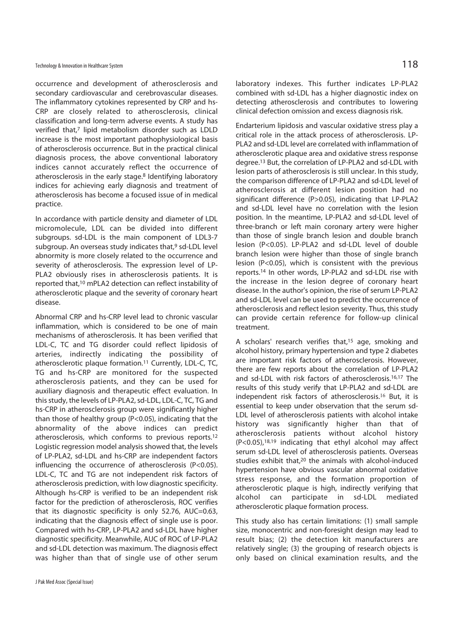occurrence and development of atherosclerosis and secondary cardiovascular and cerebrovascular diseases. The inflammatory cytokines represented by CRP and hs-CRP are closely related to atherosclerosis, clinical classification and long-term adverse events. A study has verified that,7 lipid metabolism disorder such as LDLD increase is the most important pathophysiological basis of atherosclerosis occurrence. But in the practical clinical diagnosis process, the above conventional laboratory indices cannot accurately reflect the occurrence of atherosclerosis in the early stage.<sup>8</sup> Identifying laboratory indices for achieving early diagnosis and treatment of atherosclerosis has become a focused issue of in medical practice.

In accordance with particle density and diameter of LDL micromolecule, LDL can be divided into different subgroups. sd-LDL is the main component of LDL3-7 subgroup. An overseas study indicates that,<sup>9</sup> sd-LDL level abnormity is more closely related to the occurrence and severity of atherosclerosis. The expression level of LP-PLA2 obviously rises in atherosclerosis patients. It is reported that,10 mPLA2 detection can reflect instability of atherosclerotic plaque and the severity of coronary heart disease.

Abnormal CRP and hs-CRP level lead to chronic vascular inflammation, which is considered to be one of main mechanisms of atherosclerosis. It has been verified that LDL-C, TC and TG disorder could reflect lipidosis of arteries, indirectly indicating the possibility of atherosclerotic plaque formation.11 Currently, LDL-C, TC, TG and hs-CRP are monitored for the suspected atherosclerosis patients, and they can be used for auxiliary diagnosis and therapeutic effect evaluation. In this study, the levels of LP-PLA2, sd-LDL, LDL-C, TC, TG and hs-CRP in atherosclerosis group were significantly higher than those of healthy group (P<0.05), indicating that the abnormality of the above indices can predict atherosclerosis, which conforms to previous reports.12 Logistic regression model analysis showed that, the levels of LP-PLA2, sd-LDL and hs-CRP are independent factors influencing the occurrence of atherosclerosis (P<0.05). LDL-C, TC and TG are not independent risk factors of atherosclerosis prediction, with low diagnostic specificity. Although hs-CRP is verified to be an independent risk factor for the prediction of atherosclerosis, ROC verifies that its diagnostic specificity is only 52.76, AUC=0.63, indicating that the diagnosis effect of single use is poor. Compared with hs-CRP, LP-PLA2 and sd-LDL have higher diagnostic specificity. Meanwhile, AUC of ROC of LP-PLA2 and sd-LDL detection was maximum. The diagnosis effect was higher than that of single use of other serum

laboratory indexes. This further indicates LP-PLA2 combined with sd-LDL has a higher diagnostic index on detecting atherosclerosis and contributes to lowering clinical defection omission and excess diagnosis risk.

Endarterium lipidosis and vascular oxidative stress play a critical role in the attack process of atherosclerosis. LP-PLA2 and sd-LDL level are correlated with inflammation of atherosclerotic plaque area and oxidative stress response degree.13 But, the correlation of LP-PLA2 and sd-LDL with lesion parts of atherosclerosis is still unclear. In this study, the comparison difference of LP-PLA2 and sd-LDL level of atherosclerosis at different lesion position had no significant difference (P>0.05), indicating that LP-PLA2 and sd-LDL level have no correlation with the lesion position. In the meantime, LP-PLA2 and sd-LDL level of three-branch or left main coronary artery were higher than those of single branch lesion and double branch lesion (P<0.05). LP-PLA2 and sd-LDL level of double branch lesion were higher than those of single branch lesion (P<0.05), which is consistent with the previous reports.14 In other words, LP-PLA2 and sd-LDL rise with the increase in the lesion degree of coronary heart disease. In the author's opinion, the rise of serum LP-PLA2 and sd-LDL level can be used to predict the occurrence of atherosclerosis and reflect lesion severity. Thus, this study can provide certain reference for follow-up clinical treatment.

A scholars' research verifies that,<sup>15</sup> age, smoking and alcohol history, primary hypertension and type 2 diabetes are important risk factors of atherosclerosis. However, there are few reports about the correlation of LP-PLA2 and sd-LDL with risk factors of atherosclerosis.16,17 The results of this study verify that LP-PLA2 and sd-LDL are independent risk factors of atherosclerosis.<sup>16</sup> But, it is essential to keep under observation that the serum sd-LDL level of atherosclerosis patients with alcohol intake history was significantly higher than that of atherosclerosis patients without alcohol history  $(P<0.05)$ , 18,19 indicating that ethyl alcohol may affect serum sd-LDL level of atherosclerosis patients. Overseas studies exhibit that,20 the animals with alcohol-induced hypertension have obvious vascular abnormal oxidative stress response, and the formation proportion of atherosclerotic plaque is high, indirectly verifying that alcohol can participate in sd-LDL mediated atherosclerotic plaque formation process.

This study also has certain limitations: (1) small sample size, monocentric and non-foresight design may lead to result bias; (2) the detection kit manufacturers are relatively single; (3) the grouping of research objects is only based on clinical examination results, and the